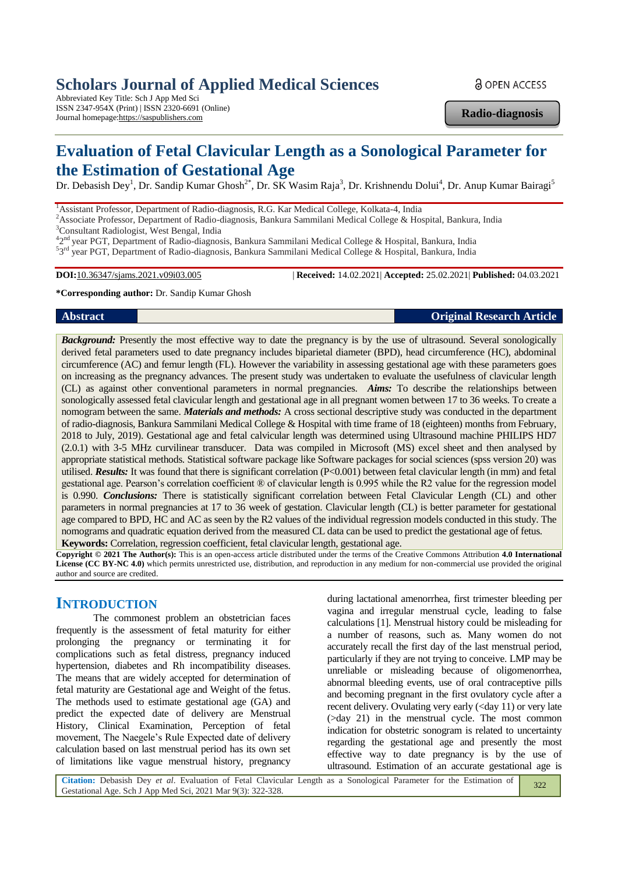# **Scholars Journal of Applied Medical Sciences**

Abbreviated Key Title: Sch J App Med Sci ISSN 2347-954X (Print) | ISSN 2320-6691 (Online) Journal homepage:https://saspublishers.com

**a** OPEN ACCESS

**Radio-diagnosis**

# **Evaluation of Fetal Clavicular Length as a Sonological Parameter for the Estimation of Gestational Age**

Dr. Debasish Dey<sup>1</sup>, Dr. Sandip Kumar Ghosh<sup>2\*</sup>, Dr. SK Wasim Raja<sup>3</sup>, Dr. Krishnendu Dolui<sup>4</sup>, Dr. Anup Kumar Bairagi<sup>5</sup>

<sup>1</sup> Assistant Professor, Department of Radio-diagnosis, R.G. Kar Medical College, Kolkata-4, India <sup>2</sup>Associate Professor, Department of Radio-diagnosis, Bankura Sammilani Medical College & Hospital, Bankura, India

<sup>3</sup>Consultant Radiologist, West Bengal, India

<sup>42nd</sup> year PGT, Department of Radio-diagnosis, Bankura Sammilani Medical College & Hospital, Bankura, India <sup>5</sup>3<sup>rd</sup> year PGT, Department of Radio-diagnosis, Bankura Sammilani Medical College & Hospital, Bankura, India

**DOI:**10.36347/sjams.2021.v09i03.005 | **Received:** 14.02.2021| **Accepted:** 25.02.2021| **Published:** 04.03.2021

**\*Corresponding author:** Dr. Sandip Kumar Ghosh

**Abstract Original Research Article**

**Background:** Presently the most effective way to date the pregnancy is by the use of ultrasound. Several sonologically derived fetal parameters used to date pregnancy includes biparietal diameter (BPD), head circumference (HC), abdominal circumference (AC) and femur length (FL). However the variability in assessing gestational age with these parameters goes on increasing as the pregnancy advances. The present study was undertaken to evaluate the usefulness of clavicular length (CL) as against other conventional parameters in normal pregnancies. *Aims:* To describe the relationships between sonologically assessed fetal clavicular length and gestational age in all pregnant women between 17 to 36 weeks. To create a nomogram between the same. *Materials and methods:* A cross sectional descriptive study was conducted in the department of radio-diagnosis, Bankura Sammilani Medical College & Hospital with time frame of 18 (eighteen) months from February, 2018 to July, 2019). Gestational age and fetal calvicular length was determined using Ultrasound machine PHILIPS HD7 (2.0.1) with 3-5 MHz curvilinear transducer. Data was compiled in Microsoft (MS) excel sheet and then analysed by appropriate statistical methods. Statistical software package like Software packages for social sciences (spss version 20) was utilised. *Results:* It was found that there is significant correlation (P<0.001) between fetal clavicular length (in mm) and fetal gestational age. Pearson's correlation coefficient ® of clavicular length is 0.995 while the R2 value for the regression model is 0.990. *Conclusions:* There is statistically significant correlation between Fetal Clavicular Length (CL) and other parameters in normal pregnancies at 17 to 36 week of gestation. Clavicular length (CL) is better parameter for gestational age compared to BPD, HC and AC as seen by the R2 values of the individual regression models conducted in this study. The nomograms and quadratic equation derived from the measured CL data can be used to predict the gestational age of fetus. **Keywords:** Correlation, regression coefficient, fetal clavicular length, gestational age.

**Copyright © 2021 The Author(s):** This is an open-access article distributed under the terms of the Creative Commons Attribution **4.0 International License (CC BY-NC 4.0)** which permits unrestricted use, distribution, and reproduction in any medium for non-commercial use provided the original author and source are credited.

# **INTRODUCTION**

The commonest problem an obstetrician faces frequently is the assessment of fetal maturity for either prolonging the pregnancy or terminating it for complications such as fetal distress, pregnancy induced hypertension, diabetes and Rh incompatibility diseases. The means that are widely accepted for determination of fetal maturity are Gestational age and Weight of the fetus. The methods used to estimate gestational age (GA) and predict the expected date of delivery are Menstrual History, Clinical Examination, Perception of fetal movement, The Naegele's Rule Expected date of delivery calculation based on last menstrual period has its own set of limitations like vague menstrual history, pregnancy

during lactational amenorrhea, first trimester bleeding per vagina and irregular menstrual cycle, leading to false calculations [1]. Menstrual history could be misleading for a number of reasons, such as. Many women do not accurately recall the first day of the last menstrual period, particularly if they are not trying to conceive. LMP may be unreliable or misleading because of oligomenorrhea, abnormal bleeding events, use of oral contraceptive pills and becoming pregnant in the first ovulatory cycle after a recent delivery. Ovulating very early (<day 11) or very late (>day 21) in the menstrual cycle. The most common indication for obstetric sonogram is related to uncertainty regarding the gestational age and presently the most effective way to date pregnancy is by the use of ultrasound. Estimation of an accurate gestational age is

**Citation:** Debasish Dey *et al*. Evaluation of Fetal Clavicular Length as a Sonological Parameter for the Estimation of Gestational Age. Sch J App Med Sci, 2021 Mar 9(3): 322-328. 322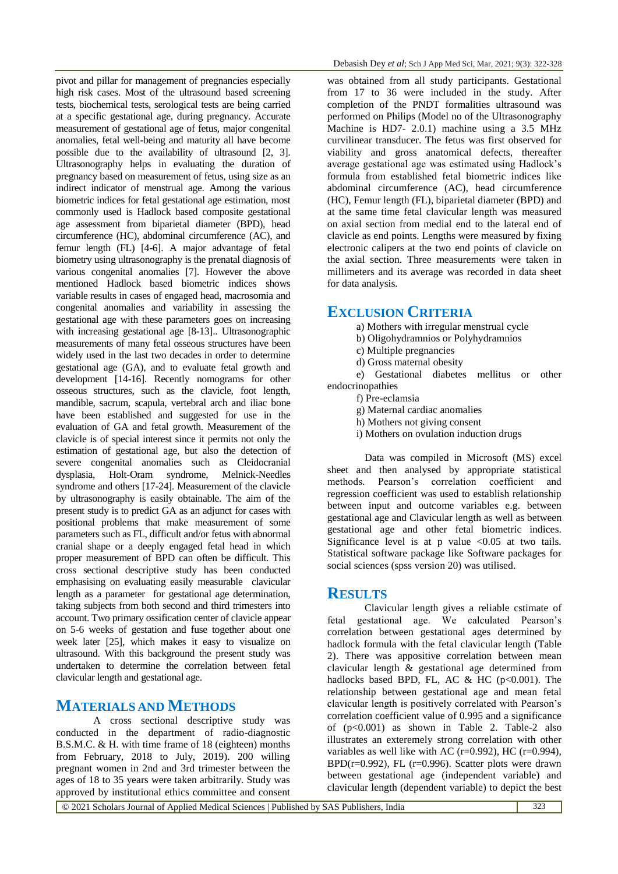pivot and pillar for management of pregnancies especially high risk cases. Most of the ultrasound based screening tests, biochemical tests, serological tests are being carried at a specific gestational age, during pregnancy. Accurate measurement of gestational age of fetus, major congenital anomalies, fetal well-being and maturity all have become possible due to the availability of ultrasound [2, 3]. Ultrasonography helps in evaluating the duration of pregnancy based on measurement of fetus, using size as an indirect indicator of menstrual age. Among the various biometric indices for fetal gestational age estimation, most commonly used is Hadlock based composite gestational age assessment from biparietal diameter (BPD), head circumference (HC), abdominal circumference (AC), and femur length (FL) [4-6]. A major advantage of fetal biometry using ultrasonography is the prenatal diagnosis of various congenital anomalies [7]. However the above mentioned Hadlock based biometric indices shows variable results in cases of engaged head, macrosomia and congenital anomalies and variability in assessing the gestational age with these parameters goes on increasing with increasing gestational age [8-13].. Ultrasonographic measurements of many fetal osseous structures have been widely used in the last two decades in order to determine gestational age (GA), and to evaluate fetal growth and development [14-16]. Recently nomograms for other osseous structures, such as the clavicle, foot length, mandible, sacrum, scapula, vertebral arch and iliac bone have been established and suggested for use in the evaluation of GA and fetal growth. Measurement of the clavicle is of special interest since it permits not only the estimation of gestational age, but also the detection of severe congenital anomalies such as Cleidocranial dysplasia, Holt-Oram syndrome, Melnick-Needles syndrome and others [17-24]. Measurement of the clavicle by ultrasonography is easily obtainable. The aim of the present study is to predict GA as an adjunct for cases with positional problems that make measurement of some parameters such as FL, difficult and/or fetus with abnormal cranial shape or a deeply engaged fetal head in which proper measurement of BPD can often be difficult. This cross sectional descriptive study has been conducted emphasising on evaluating easily measurable clavicular length as a parameter for gestational age determination, taking subjects from both second and third trimesters into account. Two primary ossification center of clavicle appear on 5-6 weeks of gestation and fuse together about one week later [25], which makes it easy to visualize on ultrasound. With this background the present study was undertaken to determine the correlation between fetal clavicular length and gestational age.

# **MATERIALS AND METHODS**

A cross sectional descriptive study was conducted in the department of radio-diagnostic B.S.M.C. & H. with time frame of 18 (eighteen) months from February, 2018 to July, 2019). 200 willing pregnant women in 2nd and 3rd trimester between the ages of 18 to 35 years were taken arbitrarily. Study was approved by institutional ethics committee and consent

was obtained from all study participants. Gestational from 17 to 36 were included in the study. After completion of the PNDT formalities ultrasound was performed on Philips (Model no of the Ultrasonography Machine is HD7- 2.0.1) machine using a 3.5 MHz curvilinear transducer. The fetus was first observed for viability and gross anatomical defects, thereafter average gestational age was estimated using Hadlock's formula from established fetal biometric indices like abdominal circumference (AC), head circumference (HC), Femur length (FL), biparietal diameter (BPD) and at the same time fetal clavicular length was measured on axial section from medial end to the lateral end of clavicle as end points. Lengths were measured by fixing electronic calipers at the two end points of clavicle on the axial section. Three measurements were taken in millimeters and its average was recorded in data sheet for data analysis.

# **EXCLUSION CRITERIA**

a) Mothers with irregular menstrual cycle

b) Oligohydramnios or Polyhydramnios

- c) Multiple pregnancies
- d) Gross maternal obesity

e) Gestational diabetes mellitus or other endocrinopathies

f) Pre-eclamsia

g) Maternal cardiac anomalies

- h) Mothers not giving consent
- i) Mothers on ovulation induction drugs

Data was compiled in Microsoft (MS) excel sheet and then analysed by appropriate statistical methods. Pearson's correlation coefficient and regression coefficient was used to establish relationship between input and outcome variables e.g. between gestational age and Clavicular length as well as between gestational age and other fetal biometric indices. Significance level is at p value  $\langle 0.05 \rangle$  at two tails. Statistical software package like Software packages for social sciences (spss version 20) was utilised.

# **RESULTS**

Clavicular length gives a reliable cstimate of fetal gestational age. We calculated Pearson's correlation between gestational ages determined by hadlock formula with the fetal clavicular length (Table 2). There was appositive correlation between mean clavicular length & gestational age determined from hadlocks based BPD, FL, AC & HC ( $p<0.001$ ). The relationship between gestational age and mean fetal clavicular length is positively correlated with Pearson's correlation coefficient value of 0.995 and a significance of  $(p<0.001)$  as shown in Table 2. Table-2 also illustrates an exteremely strong correlation with other variables as well like with AC ( $r=0.992$ ), HC ( $r=0.994$ ),  $BPD(r=0.992)$ , FL (r=0.996). Scatter plots were drawn between gestational age (independent variable) and clavicular length (dependent variable) to depict the best

© 2021 Scholars Journal of Applied Medical Sciences | Published by SAS Publishers, India 323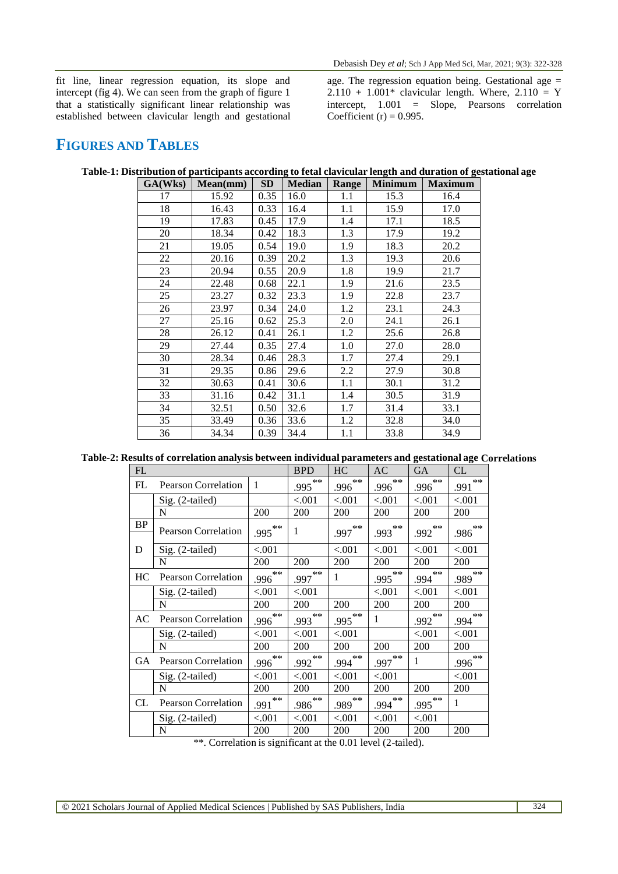fit line, linear regression equation, its slope and intercept (fig 4). We can seen from the graph of figure 1 that a statistically significant linear relationship was established between clavicular length and gestational

age. The regression equation being. Gestational age =  $2.110 + 1.001*$  clavicular length. Where,  $2.110 = Y$ intercept, 1.001 = Slope, Pearsons correlation Coefficient (r) =  $0.995$ .

# **FIGURES AND TABLES**

| GA(Wks) | Mean(mm) | <b>SD</b> | <b>Median</b> | Range | <b>Minimum</b> | <b>Maximum</b> |
|---------|----------|-----------|---------------|-------|----------------|----------------|
| 17      | 15.92    | 0.35      | 16.0          | 1.1   | 15.3           | 16.4           |
| 18      | 16.43    | 0.33      | 16.4          | 1.1   | 15.9           | 17.0           |
| 19      | 17.83    | 0.45      | 17.9          | 1.4   | 17.1           | 18.5           |
| 20      | 18.34    | 0.42      | 18.3          | 1.3   | 17.9           | 19.2           |
| 21      | 19.05    | 0.54      | 19.0          | 1.9   | 18.3           | 20.2           |
| 22      | 20.16    | 0.39      | 20.2          | 1.3   | 19.3           | 20.6           |
| 23      | 20.94    | 0.55      | 20.9          | 1.8   | 19.9           | 21.7           |
| 24      | 22.48    | 0.68      | 22.1          | 1.9   | 21.6           | 23.5           |
| 25      | 23.27    | 0.32      | 23.3          | 1.9   | 22.8           | 23.7           |
| 26      | 23.97    | 0.34      | 24.0          | 1.2   | 23.1           | 24.3           |
| 27      | 25.16    | 0.62      | 25.3          | 2.0   | 24.1           | 26.1           |
| 28      | 26.12    | 0.41      | 26.1          | 1.2   | 25.6           | 26.8           |
| 29      | 27.44    | 0.35      | 27.4          | 1.0   | 27.0           | 28.0           |
| 30      | 28.34    | 0.46      | 28.3          | 1.7   | 27.4           | 29.1           |
| 31      | 29.35    | 0.86      | 29.6          | 2.2   | 27.9           | 30.8           |
| 32      | 30.63    | 0.41      | 30.6          | 1.1   | 30.1           | 31.2           |
| 33      | 31.16    | 0.42      | 31.1          | 1.4   | 30.5           | 31.9           |
| 34      | 32.51    | 0.50      | 32.6          | 1.7   | 31.4           | 33.1           |
| 35      | 33.49    | 0.36      | 33.6          | 1.2   | 32.8           | 34.0           |
| 36      | 34.34    | 0.39      | 34.4          | 1.1   | 33.8           | 34.9           |

**Table-1: Distribution of participants according to fetal clavicular length and duration of gestational age**

**Table-2: Results of correlation analysis between individual parameters and gestational age Correlations**

| FL        |                            | <b>BPD</b>   | HC        | AC        | <b>GA</b> | CL           |               |
|-----------|----------------------------|--------------|-----------|-----------|-----------|--------------|---------------|
| FL        | Pearson Correlation        | $\mathbf{1}$ | $.995***$ | $.996***$ | $.996***$ | $.996***$    | $***$<br>.991 |
|           | Sig. (2-tailed)            |              | < .001    | < .001    | < 0.001   | < .001       | < .001        |
|           | N                          | 200          | 200       | 200       | 200       | 200          | 200           |
| <b>BP</b> | <b>Pearson Correlation</b> | $.995***$    | 1         | $.997***$ | $.993***$ | $.992***$    | $.986^{**}$   |
| D         | Sig. (2-tailed)            | < .001       |           | < .001    | < .001    | < .001       | < .001        |
|           | N                          | 200          | 200       | 200       | 200       | 200          | 200           |
| HC        | <b>Pearson Correlation</b> | $.996***$    | $.997***$ | 1         | $.995***$ | $.994***$    | $.989***$     |
|           | Sig. (2-tailed)            | < .001       | < .001    |           | < .001    | < .001       | ${<}001$      |
|           | N                          | 200          | 200       | 200       | 200       | 200          | 200           |
| AC        | <b>Pearson Correlation</b> | $.996***$    | $.993***$ | $.995***$ | 1         | $.992***$    | $.994***$     |
|           | Sig. (2-tailed)            | < 0.001      | < 0.001   | < .001    |           | < .001       | < .001        |
|           | N                          | 200          | 200       | 200       | 200       | 200          | 200           |
| GA.       | <b>Pearson Correlation</b> | $.996***$    | $.992***$ | $.994***$ | $.997***$ | $\mathbf{1}$ | $.996***$     |
|           | Sig. (2-tailed)            | < .001       | < .001    | < .001    | < .001    |              | < .001        |
|           | N                          | 200          | 200       | 200       | 200       | 200          | 200           |
| CL        | <b>Pearson Correlation</b> | $.991$ **    | $.986***$ | $.989***$ | $.994***$ | $.995***$    | 1             |
|           | Sig. (2-tailed)            | < .001       | < .001    | ${<}001$  | < .001    | < .001       |               |
|           | N                          | 200          | 200       | 200       | 200       | 200          | 200           |

\*\*. Correlation is significant at the 0.01 level (2-tailed).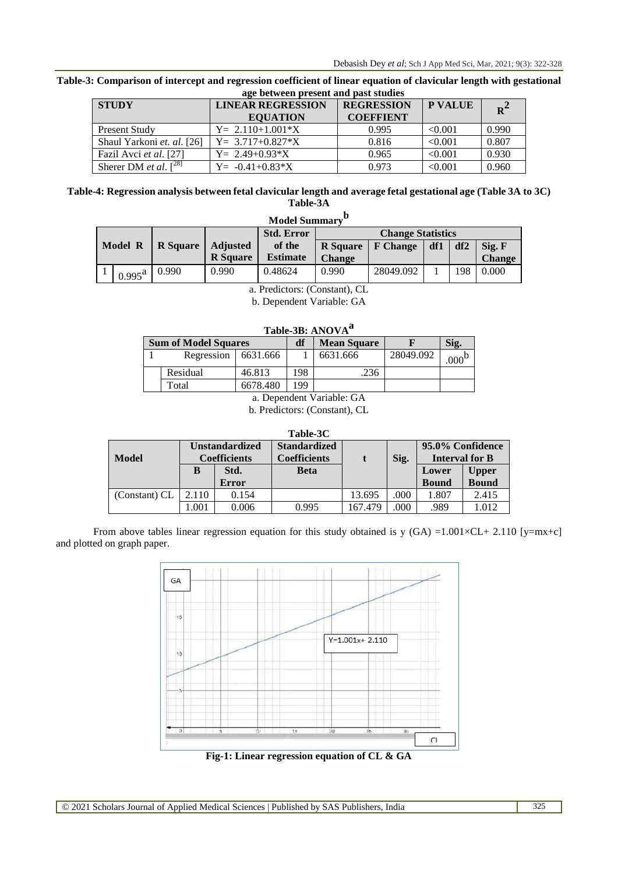| age between present and past studies |                                             |                                       |                |       |  |  |  |  |  |
|--------------------------------------|---------------------------------------------|---------------------------------------|----------------|-------|--|--|--|--|--|
| <b>STUDY</b>                         | <b>LINEAR REGRESSION</b><br><b>EQUATION</b> | <b>REGRESSION</b><br><b>COEFFIENT</b> | <b>P VALUE</b> | $R^2$ |  |  |  |  |  |
| <b>Present Study</b>                 | $Y = 2.110 + 1.001*X$                       | 0.995                                 | < 0.001        | 0.990 |  |  |  |  |  |
| Shaul Yarkoni et. al. [26]           | $Y = 3.717 + 0.827 * X$                     | 0.816                                 | < 0.001        | 0.807 |  |  |  |  |  |
| Fazil Avci et al. [27]               | $Y = 2.49 + 0.93*X$                         | 0.965                                 | < 0.001        | 0.930 |  |  |  |  |  |
| $r^{28}$<br>Sherer DM et al.         | $Y = -0.41 + 0.83 * X$                      | 0.973                                 | < 0.001        | 0.960 |  |  |  |  |  |

**Table-3: Comparison of intercept and regression coefficient of linear equation of clavicular length with gestational age between present and past studies**

#### **Table-4: Regression analysis between fetal clavicular length and average fetal gestational age (Table 3A to 3C) Table-3A b**

|                            | <b>Model Summary</b> |                 |                 |                                                  |                          |           |        |     |               |  |  |
|----------------------------|----------------------|-----------------|-----------------|--------------------------------------------------|--------------------------|-----------|--------|-----|---------------|--|--|
|                            |                      |                 |                 | <b>Std. Error</b>                                | <b>Change Statistics</b> |           |        |     |               |  |  |
| Model R<br><b>R</b> Square |                      | <b>Adjusted</b> | of the          | df2<br><b>R</b> Square<br>df1<br><b>F</b> Change |                          |           | Sig. F |     |               |  |  |
|                            |                      |                 | <b>R</b> Square | <b>Estimate</b>                                  | <b>Change</b>            |           |        |     | <b>Change</b> |  |  |
|                            | $0.995^{\rm a}$      | 0.990           | 0.990           | 0.48624                                          | 0.990                    | 28049.092 |        | 198 | 0.000         |  |  |

a. Predictors: (Constant), CL

b. Dependent Variable: GA

| <b>Sum of Model Squares</b> |                         |          | df  | <b>Mean Square</b> |           | Sig.              |  |  |
|-----------------------------|-------------------------|----------|-----|--------------------|-----------|-------------------|--|--|
|                             | Regression   $6631.666$ |          |     | 6631.666           | 28049.092 | .000 <sup>b</sup> |  |  |
|                             | 46.813<br>Residual      |          | 198 | .236               |           |                   |  |  |
|                             | Total                   | 6678.480 | 199 |                    |           |                   |  |  |
| a. Dependent Variable: GA   |                         |          |     |                    |           |                   |  |  |

b. Predictors: (Constant), CL

| Table-3C |
|----------|
|----------|

| <b>Model</b>  |       | <b>Unstandardized</b><br><b>Coefficients</b> | <b>Standardized</b><br><b>Coefficients</b> |         | Sig. | 95.0% Confidence<br><b>Interval for B</b> |                              |
|---------------|-------|----------------------------------------------|--------------------------------------------|---------|------|-------------------------------------------|------------------------------|
|               | B     | Std.<br><b>Error</b>                         | <b>Beta</b>                                |         |      | Lower<br><b>Bound</b>                     | <b>Upper</b><br><b>Bound</b> |
| (Constant) CL | 2.110 | 0.154                                        |                                            | 13.695  | .000 | 1.807                                     | 2.415                        |
|               | .001  | 0.006                                        | 0.995                                      | 167.479 | .000 | .989                                      | 1.012                        |

From above tables linear regression equation for this study obtained is y  $(GA) = 1.001 \times CL + 2.110$  [y=mx+c] and plotted on graph paper.



**Fig-1: Linear regression equation of CL & GA**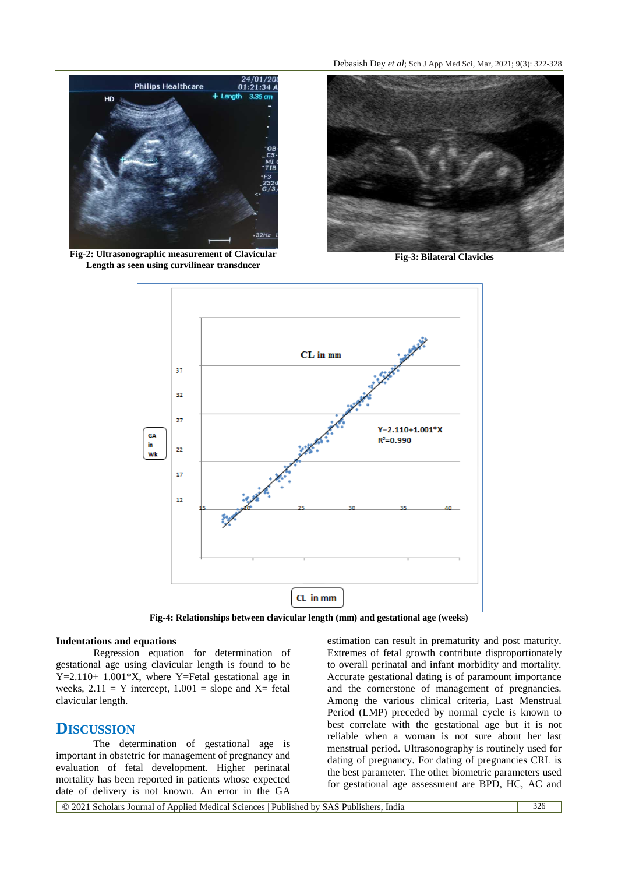

**Fig-2: Ultrasonographic measurement of Clavicular Length as seen using curvilinear transducer**

Debasish Dey *et al*; Sch J App Med Sci, Mar, 2021; 9(3): 322-328



**Fig-3: Bilateral Clavicles**



**Fig-4: Relationships between clavicular length (mm) and gestational age (weeks)**

#### **Indentations and equations**

Regression equation for determination of gestational age using clavicular length is found to be Y=2.110+ 1.001\*X, where Y=Fetal gestational age in weeks,  $2.11 = Y$  intercept,  $1.001 =$  slope and X= fetal clavicular length.

## **DISCUSSION**

The determination of gestational age is important in obstetric for management of pregnancy and evaluation of fetal development. Higher perinatal mortality has been reported in patients whose expected date of delivery is not known. An error in the GA

estimation can result in prematurity and post maturity. Extremes of fetal growth contribute disproportionately to overall perinatal and infant morbidity and mortality. Accurate gestational dating is of paramount importance and the cornerstone of management of pregnancies. Among the various clinical criteria, Last Menstrual Period (LMP) preceded by normal cycle is known to best correlate with the gestational age but it is not reliable when a woman is not sure about her last menstrual period. Ultrasonography is routinely used for dating of pregnancy. For dating of pregnancies CRL is the best parameter. The other biometric parameters used for gestational age assessment are BPD, HC, AC and

© 2021 Scholars Journal of Applied Medical Sciences | Published by SAS Publishers, India 326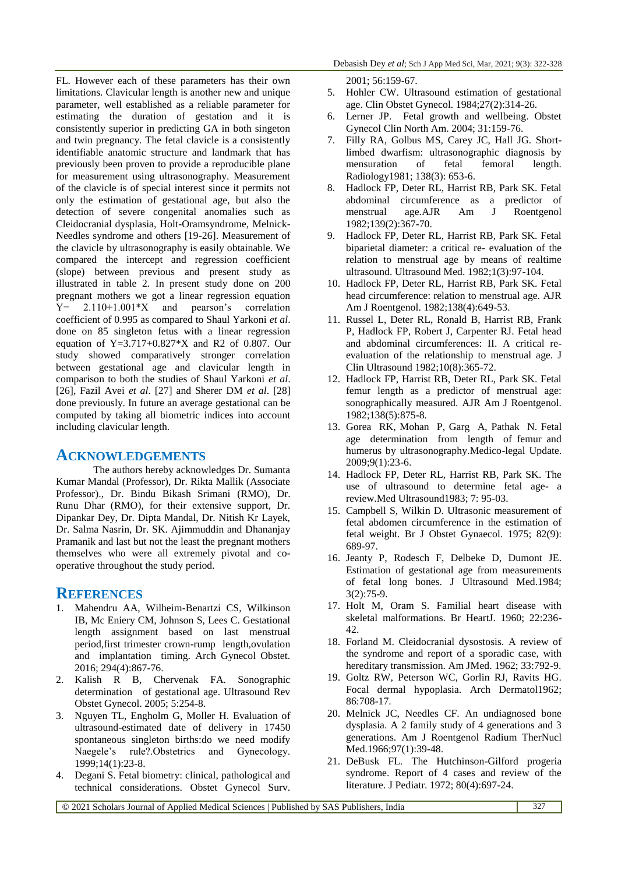FL. However each of these parameters has their own limitations. Clavicular length is another new and unique parameter, well established as a reliable parameter for estimating the duration of gestation and it is consistently superior in predicting GA in both singeton and twin pregnancy. The fetal clavicle is a consistently identifiable anatomic structure and landmark that has previously been proven to provide a reproducible plane for measurement using ultrasonography. Measurement of the clavicle is of special interest since it permits not only the estimation of gestational age, but also the detection of severe congenital anomalies such as Cleidocranial dysplasia, Holt-Oramsyndrome, Melnick-Needles syndrome and others [19-26]. Measurement of the clavicle by ultrasonography is easily obtainable. We compared the intercept and regression coefficient (slope) between previous and present study as illustrated in table 2. In present study done on 200 pregnant mothers we got a linear regression equation  $Y = 2.110+1.001*X$  and pearson's correlation coefficient of 0.995 as compared to Shaul Yarkoni *et al*. done on 85 singleton fetus with a linear regression equation of  $Y=3.717+0.827*K$  and R2 of 0.807. Our study showed comparatively stronger correlation between gestational age and clavicular length in comparison to both the studies of Shaul Yarkoni *et al*. [26], Fazil Avei *et al*. [27] and Sherer DM *et al*. [28] done previously. In future an average gestational can be computed by taking all biometric indices into account including clavicular length.

## **ACKNOWLEDGEMENTS**

The authors hereby acknowledges Dr. Sumanta Kumar Mandal (Professor), Dr. Rikta Mallik (Associate Professor)., Dr. Bindu Bikash Srimani (RMO), Dr. Runu Dhar (RMO), for their extensive support, Dr. Dipankar Dey, Dr. Dipta Mandal, Dr. Nitish Kr Layek, Dr. Salma Nasrin, Dr. SK. Ajimmuddin and Dhananjay Pramanik and last but not the least the pregnant mothers themselves who were all extremely pivotal and cooperative throughout the study period.

## **REFERENCES**

- 1. Mahendru AA, Wilheim-Benartzi CS, Wilkinson IB, Mc Eniery CM, Johnson S, Lees C. Gestational length assignment based on last menstrual period,first trimester crown-rump length,ovulation and implantation timing. Arch Gynecol Obstet. 2016; 294(4):867-76.
- 2. Kalish R B, Chervenak FA. Sonographic determination of gestational age. Ultrasound Rev Obstet Gynecol. 2005; 5:254-8.
- 3. Nguyen TL, Engholm G, Moller H. Evaluation of ultrasound-estimated date of delivery in 17450 spontaneous singleton births:do we need modify Naegele's rule?.Obstetrics and Gynecology. 1999;14(1):23-8.
- 4. Degani S. Fetal biometry: clinical, pathological and technical considerations. Obstet Gynecol Surv.

2001; 56:159-67.

- 5. Hohler CW. Ultrasound estimation of gestational age. Clin Obstet Gynecol. 1984;27(2):314-26.
- 6. Lerner JP. Fetal growth and wellbeing. Obstet Gynecol Clin North Am. 2004; 31:159-76.
- 7. Filly RA, Golbus MS, Carey JC, Hall JG. Shortlimbed dwarfism: ultrasonographic diagnosis by mensuration of fetal femoral length. Radiology1981; 138(3): 653-6.
- 8. Hadlock FP, Deter RL, Harrist RB, Park SK. Fetal abdominal circumference as a predictor of menstrual age.AJR Am J Roentgenol 1982;139(2):367-70.
- 9. Hadlock FP, Deter RL, Harrist RB, Park SK. Fetal biparietal diameter: a critical re- evaluation of the relation to menstrual age by means of realtime ultrasound. Ultrasound Med. 1982;1(3):97-104.
- 10. Hadlock FP, Deter RL, Harrist RB, Park SK. Fetal head circumference: relation to menstrual age. AJR Am J Roentgenol. 1982;138(4):649-53.
- 11. Russel L, Deter RL, Ronald B, Harrist RB, Frank P, Hadlock FP, Robert J, Carpenter RJ. Fetal head and abdominal circumferences: II. A critical reevaluation of the relationship to menstrual age. J Clin Ultrasound 1982;10(8):365-72.
- 12. Hadlock FP, Harrist RB, Deter RL, Park SK. Fetal femur length as a predictor of menstrual age: sonographically measured. AJR Am J Roentgenol. 1982;138(5):875-8.
- 13. Gorea RK, Mohan P, Garg A, Pathak N. Fetal age determination from length of femur and humerus by ultrasonography.Medico-legal Update. 2009;9(1):23-6.
- 14. Hadlock FP, Deter RL, Harrist RB, Park SK. The use of ultrasound to determine fetal age- a review.Med Ultrasound1983; 7: 95-03.
- 15. Campbell S, Wilkin D. Ultrasonic measurement of fetal abdomen circumference in the estimation of fetal weight. Br J Obstet Gynaecol. 1975; 82(9): 689-97.
- 16. Jeanty P, Rodesch F, Delbeke D, Dumont JE. Estimation of gestational age from measurements of fetal long bones. J Ultrasound Med.1984; 3(2):75-9.
- 17. Holt M, Oram S. Familial heart disease with skeletal malformations. Br HeartJ. 1960; 22:236- 42.
- 18. Forland M. Cleidocranial dysostosis. A review of the syndrome and report of a sporadic case, with hereditary transmission. Am JMed. 1962; 33:792-9.
- 19. Goltz RW, Peterson WC, Gorlin RJ, Ravits HG. Focal dermal hypoplasia. Arch Dermatol1962; 86:708-17.
- 20. Melnick JC, Needles CF. An undiagnosed bone dysplasia. A 2 family study of 4 generations and 3 generations. Am J Roentgenol Radium TherNucl Med.1966;97(1):39-48.
- 21. DeBusk FL. The Hutchinson-Gilford progeria syndrome. Report of 4 cases and review of the literature. J Pediatr. 1972; 80(4):697-24.

© 2021 Scholars Journal of Applied Medical Sciences | Published by SAS Publishers, India 327